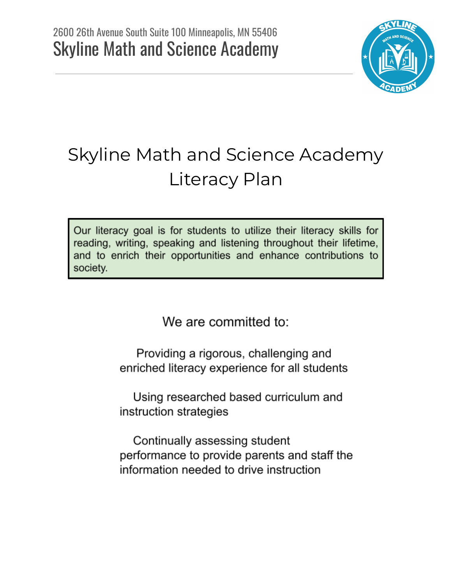

# Skyline Math and Science Academy Literacy Plan

Our literacy goal is for students to utilize their literacy skills for reading, writing, speaking and listening throughout their lifetime, and to enrich their opportunities and enhance contributions to society.

We are committed to:

Providing a rigorous, challenging and enriched literacy experience for all students

Using researched based curriculum and instruction strategies

Continually assessing student performance to provide parents and staff the information needed to drive instruction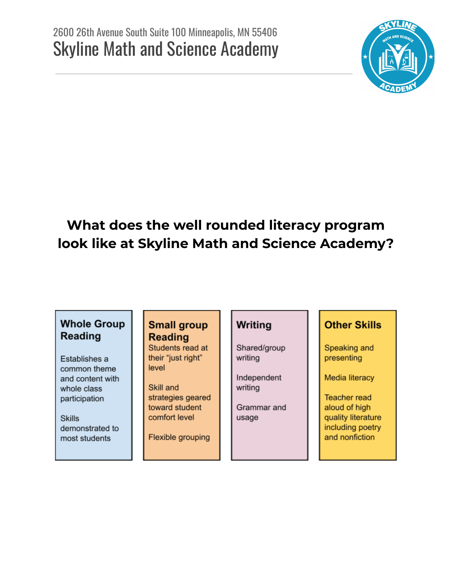

# **What does the well rounded literacy program look like at Skyline Math and Science Academy?**

#### **Whole Group** Reading

Establishes a common theme and content with whole class participation

**Skills** demonstrated to most students

#### **Small group Reading**

Students read at their "just right" level

Skill and strategies geared toward student comfort level

Flexible grouping

#### Writing

Shared/group writing

Independent writing

Grammar and usage

#### **Other Skills**

Speaking and presenting

Media literacy

**Teacher read** aloud of high quality literature including poetry and nonfiction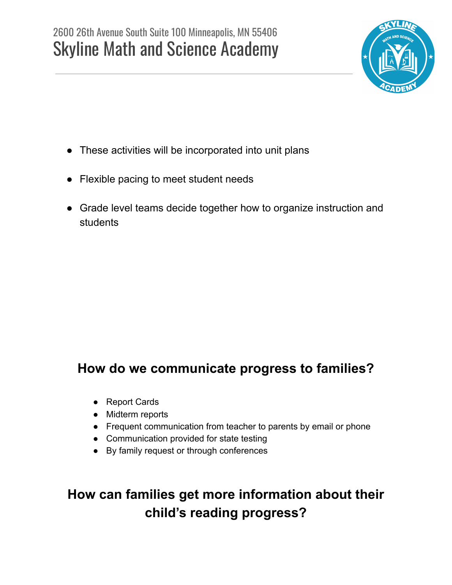

- These activities will be incorporated into unit plans
- Flexible pacing to meet student needs
- Grade level teams decide together how to organize instruction and students

### **How do we communicate progress to families?**

- Report Cards
- Midterm reports
- Frequent communication from teacher to parents by email or phone
- Communication provided for state testing
- By family request or through conferences

### **How can families get more information about their child's reading progress?**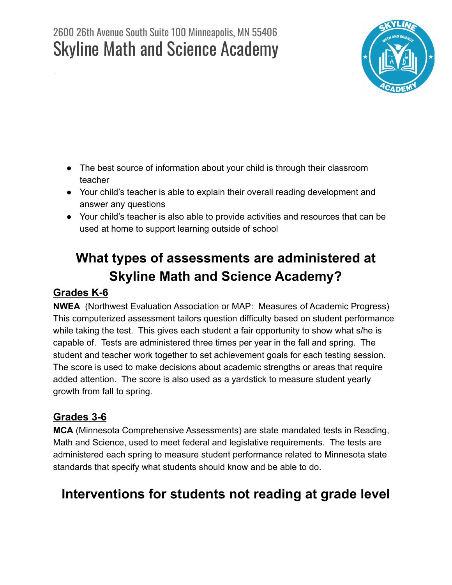## 2600 26th Avenue South Suite 100 Minneapolis, MN 55406 Skyline Math and Science Academy



- The best source of information about your child is through their classroom teacher
- Your child's teacher is able to explain their overall reading development and answer any questions
- Your child's teacher is also able to provide activities and resources that can be used at home to support learning outside of school

# **What types of assessments are administered at Skyline Math and Science Academy?**

#### **Grades K-6**

**NWEA** (Northwest Evaluation Association or MAP: Measures of Academic Progress) This computerized assessment tailors question difficulty based on student performance while taking the test. This gives each student a fair opportunity to show what s/he is capable of. Tests are administered three times per year in the fall and spring. The student and teacher work together to set achievement goals for each testing session. The score is used to make decisions about academic strengths or areas that require added attention. The score is also used as a yardstick to measure student yearly growth from fall to spring.

#### **Grades 3-6**

**MCA** (Minnesota Comprehensive Assessments) are state mandated tests in Reading, Math and Science, used to meet federal and legislative requirements. The tests are administered each spring to measure student performance related to Minnesota state standards that specify what students should know and be able to do.

### **Interventions for students not reading at grade level**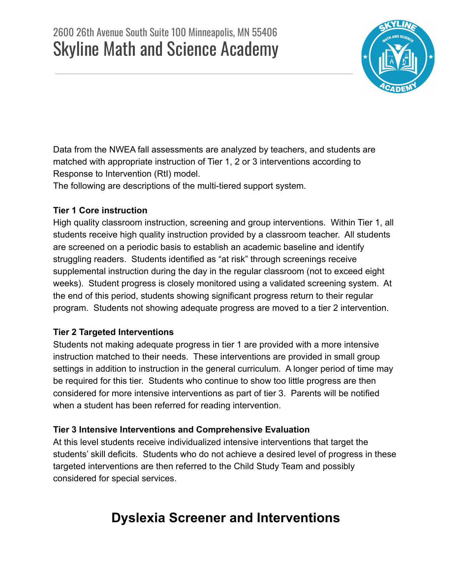

Data from the NWEA fall assessments are analyzed by teachers, and students are matched with appropriate instruction of Tier 1, 2 or 3 interventions according to Response to Intervention (RtI) model.

The following are descriptions of the multi-tiered support system.

#### **Tier 1 Core instruction**

High quality classroom instruction, screening and group interventions. Within Tier 1, all students receive high quality instruction provided by a classroom teacher. All students are screened on a periodic basis to establish an academic baseline and identify struggling readers. Students identified as "at risk" through screenings receive supplemental instruction during the day in the regular classroom (not to exceed eight weeks). Student progress is closely monitored using a validated screening system. At the end of this period, students showing significant progress return to their regular program. Students not showing adequate progress are moved to a tier 2 intervention.

#### **Tier 2 Targeted Interventions**

Students not making adequate progress in tier 1 are provided with a more intensive instruction matched to their needs. These interventions are provided in small group settings in addition to instruction in the general curriculum. A longer period of time may be required for this tier. Students who continue to show too little progress are then considered for more intensive interventions as part of tier 3. Parents will be notified when a student has been referred for reading intervention.

#### **Tier 3 Intensive Interventions and Comprehensive Evaluation**

At this level students receive individualized intensive interventions that target the students' skill deficits. Students who do not achieve a desired level of progress in these targeted interventions are then referred to the Child Study Team and possibly considered for special services.

### **Dyslexia Screener and Interventions**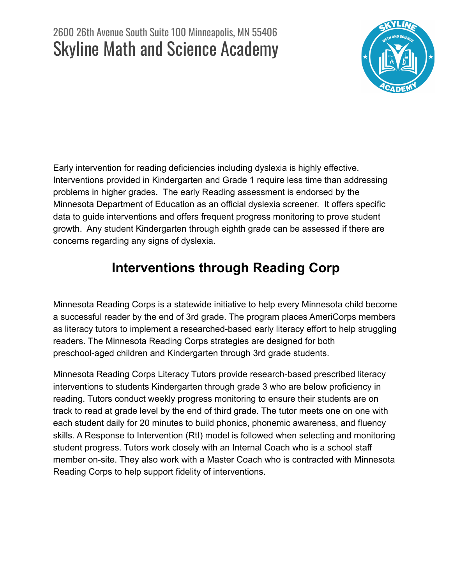

Early intervention for reading deficiencies including dyslexia is highly effective. Interventions provided in Kindergarten and Grade 1 require less time than addressing problems in higher grades. The early Reading assessment is endorsed by the Minnesota Department of Education as an official dyslexia screener. It offers specific data to guide interventions and offers frequent progress monitoring to prove student growth. Any student Kindergarten through eighth grade can be assessed if there are concerns regarding any signs of dyslexia.

### **Interventions through Reading Corp**

Minnesota Reading Corps is a statewide initiative to help every Minnesota child become a successful reader by the end of 3rd grade. The program places AmeriCorps members as literacy tutors to implement a researched-based early literacy effort to help struggling readers. The Minnesota Reading Corps strategies are designed for both preschool-aged children and Kindergarten through 3rd grade students.

Minnesota Reading Corps Literacy Tutors provide research-based prescribed literacy interventions to students Kindergarten through grade 3 who are below proficiency in reading. Tutors conduct weekly progress monitoring to ensure their students are on track to read at grade level by the end of third grade. The tutor meets one on one with each student daily for 20 minutes to build phonics, phonemic awareness, and fluency skills. A Response to Intervention (RtI) model is followed when selecting and monitoring student progress. Tutors work closely with an Internal Coach who is a school staff member on-site. They also work with a Master Coach who is contracted with Minnesota Reading Corps to help support fidelity of interventions.